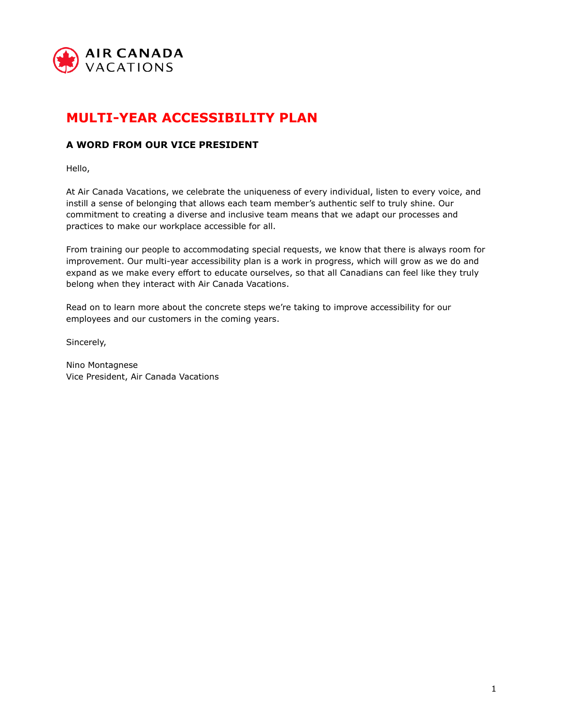

# **MULTI-YEAR ACCESSIBILITY PLAN**

# **A WORD FROM OUR VICE PRESIDENT**

Hello,

At Air Canada Vacations, we celebrate the uniqueness of every individual, listen to every voice, and instill a sense of belonging that allows each team member's authentic self to truly shine. Our commitment to creating a diverse and inclusive team means that we adapt our processes and practices to make our workplace accessible for all.

From training our people to accommodating special requests, we know that there is always room for improvement. Our multi-year accessibility plan is a work in progress, which will grow as we do and expand as we make every effort to educate ourselves, so that all Canadians can feel like they truly belong when they interact with Air Canada Vacations.

Read on to learn more about the concrete steps we're taking to improve accessibility for our employees and our customers in the coming years.

Sincerely,

Nino Montagnese Vice President, Air Canada Vacations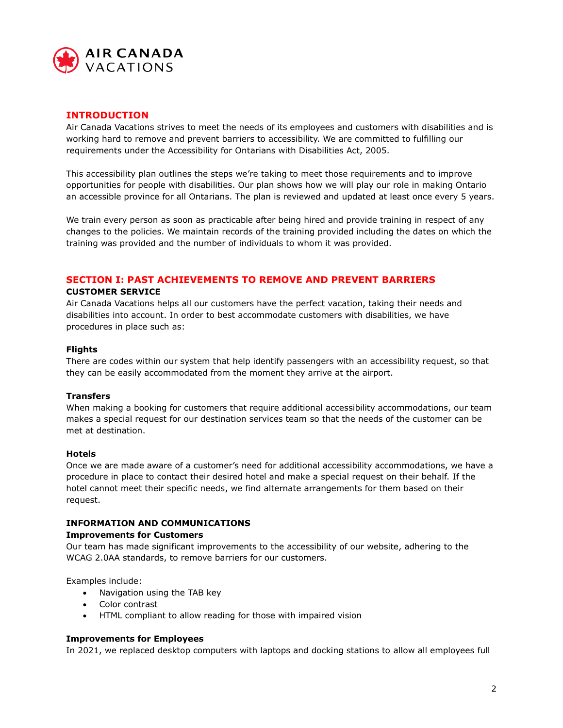

## **INTRODUCTION**

Air Canada Vacations strives to meet the needs of its employees and customers with disabilities and is working hard to remove and prevent barriers to accessibility. We are committed to fulfilling our requirements under the Accessibility for Ontarians with Disabilities Act, 2005.

This accessibility plan outlines the steps we're taking to meet those requirements and to improve opportunities for people with disabilities. Our plan shows how we will play our role in making Ontario an accessible province for all Ontarians. The plan is reviewed and updated at least once every 5 years.

We train every person as soon as practicable after being hired and provide training in respect of any changes to the policies. We maintain records of the training provided including the dates on which the training was provided and the number of individuals to whom it was provided.

# **SECTION I: PAST ACHIEVEMENTS TO REMOVE AND PREVENT BARRIERS**

#### **CUSTOMER SERVICE**

Air Canada Vacations helps all our customers have the perfect vacation, taking their needs and disabilities into account. In order to best accommodate customers with disabilities, we have procedures in place such as:

## **Flights**

There are codes within our system that help identify passengers with an accessibility request, so that they can be easily accommodated from the moment they arrive at the airport.

#### **Transfers**

When making a booking for customers that require additional accessibility accommodations, our team makes a special request for our destination services team so that the needs of the customer can be met at destination.

#### **Hotels**

Once we are made aware of a customer's need for additional accessibility accommodations, we have a procedure in place to contact their desired hotel and make a special request on their behalf. If the hotel cannot meet their specific needs, we find alternate arrangements for them based on their request.

## **INFORMATION AND COMMUNICATIONS**

#### **Improvements for Customers**

Our team has made significant improvements to the accessibility of our website, adhering to the WCAG 2.0AA standards, to remove barriers for our customers.

Examples include:

- Navigation using the TAB key
- Color contrast
- HTML compliant to allow reading for those with impaired vision

#### **Improvements for Employees**

In 2021, we replaced desktop computers with laptops and docking stations to allow all employees full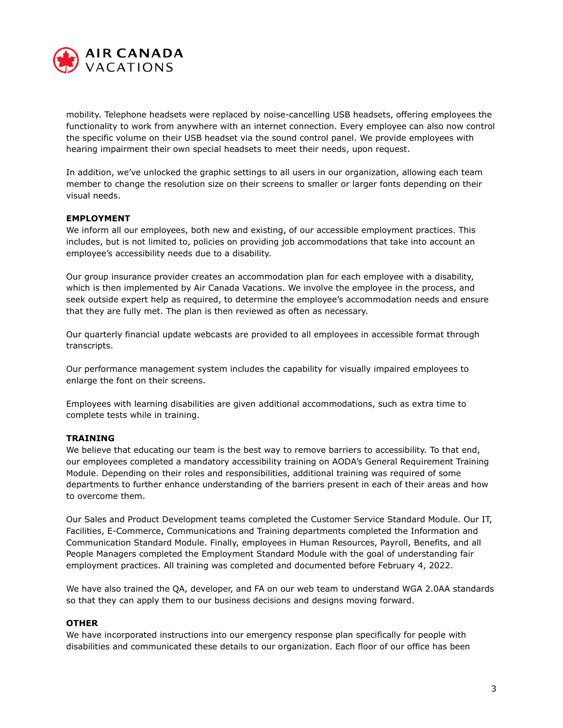

mobility. Telephone headsets were replaced by noise-cancelling USB headsets, offering employees the functionality to work from anywhere with an internet connection. Every employee can also now control the specific volume on their USB headset via the sound control panel. We provide employees with hearing impairment their own special headsets to meet their needs, upon request.

In addition, we've unlocked the graphic settings to all users in our organization, allowing each team member to change the resolution size on their screens to smaller or larger fonts depending on their visual needs.

#### **EMPLOYMENT**

We inform all our employees, both new and existing, of our accessible employment practices. This includes, but is not limited to, policies on providing job accommodations that take into account an employee's accessibility needs due to a disability.

Our group insurance provider creates an accommodation plan for each employee with a disability, which is then implemented by Air Canada Vacations. We involve the employee in the process, and seek outside expert help as required, to determine the employee's accommodation needs and ensure that they are fully met. The plan is then reviewed as often as necessary.

Our quarterly financial update webcasts are provided to all employees in accessible format through transcripts.

Our performance management system includes the capability for visually impaired employees to enlarge the font on their screens.

Employees with learning disabilities are given additional accommodations, such as extra time to complete tests while in training.

#### **TRAINING**

We believe that educating our team is the best way to remove barriers to accessibility. To that end, our employees completed a mandatory accessibility training on AODA's General Requirement Training Module. Depending on their roles and responsibilities, additional training was required of some departments to further enhance understanding of the barriers present in each of their areas and how to overcome them.

Our Sales and Product Development teams completed the Customer Service Standard Module. Our IT, Facilities, E-Commerce, Communications and Training departments completed the Information and Communication Standard Module. Finally, employees in Human Resources, Payroll, Benefits, and all People Managers completed the Employment Standard Module with the goal of understanding fair employment practices. All training was completed and documented before February 4, 2022.

We have also trained the QA, developer, and FA on our web team to understand WGA 2.0AA standards so that they can apply them to our business decisions and designs moving forward.

#### **OTHER**

We have incorporated instructions into our emergency response plan specifically for people with disabilities and communicated these details to our organization. Each floor of our office has been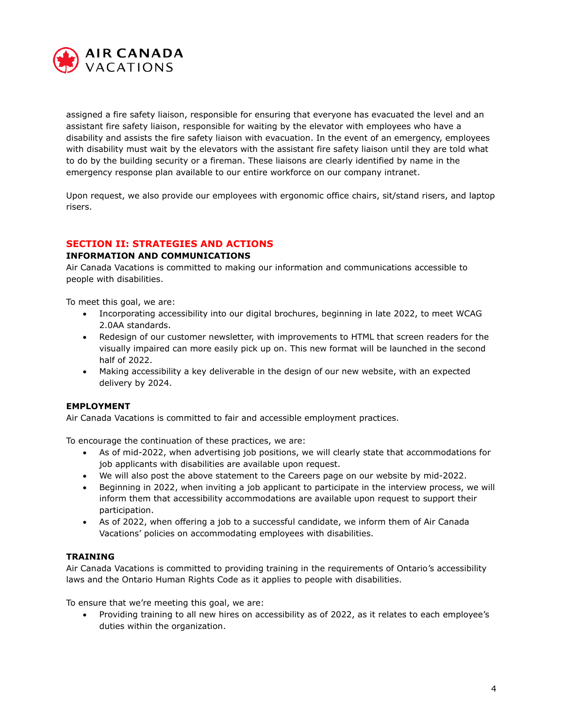

assigned a fire safety liaison, responsible for ensuring that everyone has evacuated the level and an assistant fire safety liaison, responsible for waiting by the elevator with employees who have a disability and assists the fire safety liaison with evacuation. In the event of an emergency, employees with disability must wait by the elevators with the assistant fire safety liaison until they are told what to do by the building security or a fireman. These liaisons are clearly identified by name in the emergency response plan available to our entire workforce on our company intranet.

Upon request, we also provide our employees with ergonomic office chairs, sit/stand risers, and laptop risers.

# **SECTION II: STRATEGIES AND ACTIONS**

#### **INFORMATION AND COMMUNICATIONS**

Air Canada Vacations is committed to making our information and communications accessible to people with disabilities.

To meet this goal, we are:

- Incorporating accessibility into our digital brochures, beginning in late 2022, to meet WCAG 2.0AA standards.
- Redesign of our customer newsletter, with improvements to HTML that screen readers for the visually impaired can more easily pick up on. This new format will be launched in the second half of 2022.
- Making accessibility a key deliverable in the design of our new website, with an expected delivery by 2024.

## **EMPLOYMENT**

Air Canada Vacations is committed to fair and accessible employment practices.

To encourage the continuation of these practices, we are:

- As of mid-2022, when advertising job positions, we will clearly state that accommodations for job applicants with disabilities are available upon request.
- We will also post the above statement to the Careers page on our website by mid-2022.
- Beginning in 2022, when inviting a job applicant to participate in the interview process, we will inform them that accessibility accommodations are available upon request to support their participation.
- As of 2022, when offering a job to a successful candidate, we inform them of Air Canada Vacations' policies on accommodating employees with disabilities.

## **TRAINING**

Air Canada Vacations is committed to providing training in the requirements of Ontario's accessibility laws and the Ontario Human Rights Code as it applies to people with disabilities.

To ensure that we're meeting this goal, we are:

• Providing training to all new hires on accessibility as of 2022, as it relates to each employee's duties within the organization.